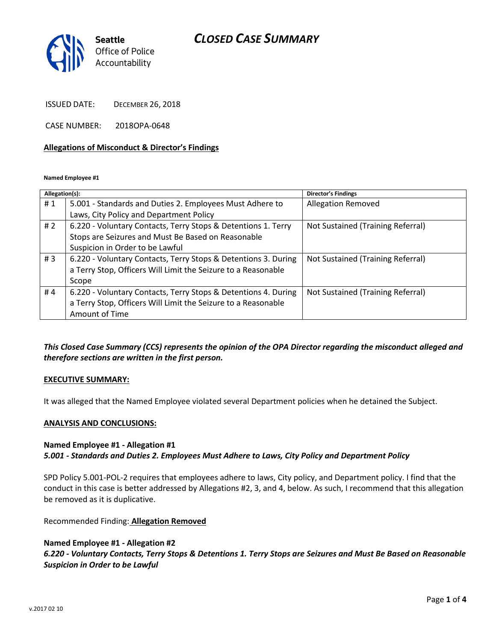## *CLOSED CASE SUMMARY*



ISSUED DATE: DECEMBER 26, 2018

CASE NUMBER: 2018OPA-0648

### **Allegations of Misconduct & Director's Findings**

**Named Employee #1**

| Allegation(s): |                                                                | <b>Director's Findings</b>        |
|----------------|----------------------------------------------------------------|-----------------------------------|
| #1             | 5.001 - Standards and Duties 2. Employees Must Adhere to       | <b>Allegation Removed</b>         |
|                | Laws, City Policy and Department Policy                        |                                   |
| #2             | 6.220 - Voluntary Contacts, Terry Stops & Detentions 1. Terry  | Not Sustained (Training Referral) |
|                | Stops are Seizures and Must Be Based on Reasonable             |                                   |
|                | Suspicion in Order to be Lawful                                |                                   |
| #3             | 6.220 - Voluntary Contacts, Terry Stops & Detentions 3. During | Not Sustained (Training Referral) |
|                | a Terry Stop, Officers Will Limit the Seizure to a Reasonable  |                                   |
|                | Scope                                                          |                                   |
| #4             | 6.220 - Voluntary Contacts, Terry Stops & Detentions 4. During | Not Sustained (Training Referral) |
|                | a Terry Stop, Officers Will Limit the Seizure to a Reasonable  |                                   |
|                | Amount of Time                                                 |                                   |

*This Closed Case Summary (CCS) represents the opinion of the OPA Director regarding the misconduct alleged and therefore sections are written in the first person.* 

#### **EXECUTIVE SUMMARY:**

It was alleged that the Named Employee violated several Department policies when he detained the Subject.

### **ANALYSIS AND CONCLUSIONS:**

### **Named Employee #1 - Allegation #1** *5.001 - Standards and Duties 2. Employees Must Adhere to Laws, City Policy and Department Policy*

SPD Policy 5.001-POL-2 requires that employees adhere to laws, City policy, and Department policy. I find that the conduct in this case is better addressed by Allegations #2, 3, and 4, below. As such, I recommend that this allegation be removed as it is duplicative.

Recommended Finding: **Allegation Removed**

### **Named Employee #1 - Allegation #2**

*6.220 - Voluntary Contacts, Terry Stops & Detentions 1. Terry Stops are Seizures and Must Be Based on Reasonable Suspicion in Order to be Lawful*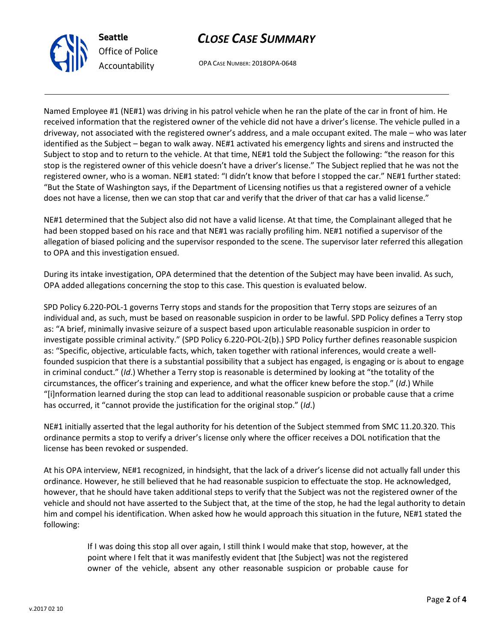



OPA CASE NUMBER: 2018OPA-0648

Named Employee #1 (NE#1) was driving in his patrol vehicle when he ran the plate of the car in front of him. He received information that the registered owner of the vehicle did not have a driver's license. The vehicle pulled in a driveway, not associated with the registered owner's address, and a male occupant exited. The male – who was later identified as the Subject – began to walk away. NE#1 activated his emergency lights and sirens and instructed the Subject to stop and to return to the vehicle. At that time, NE#1 told the Subject the following: "the reason for this stop is the registered owner of this vehicle doesn't have a driver's license." The Subject replied that he was not the registered owner, who is a woman. NE#1 stated: "I didn't know that before I stopped the car." NE#1 further stated: "But the State of Washington says, if the Department of Licensing notifies us that a registered owner of a vehicle does not have a license, then we can stop that car and verify that the driver of that car has a valid license."

NE#1 determined that the Subject also did not have a valid license. At that time, the Complainant alleged that he had been stopped based on his race and that NE#1 was racially profiling him. NE#1 notified a supervisor of the allegation of biased policing and the supervisor responded to the scene. The supervisor later referred this allegation to OPA and this investigation ensued.

During its intake investigation, OPA determined that the detention of the Subject may have been invalid. As such, OPA added allegations concerning the stop to this case. This question is evaluated below.

SPD Policy 6.220-POL-1 governs Terry stops and stands for the proposition that Terry stops are seizures of an individual and, as such, must be based on reasonable suspicion in order to be lawful. SPD Policy defines a Terry stop as: "A brief, minimally invasive seizure of a suspect based upon articulable reasonable suspicion in order to investigate possible criminal activity." (SPD Policy 6.220-POL-2(b).) SPD Policy further defines reasonable suspicion as: "Specific, objective, articulable facts, which, taken together with rational inferences, would create a wellfounded suspicion that there is a substantial possibility that a subject has engaged, is engaging or is about to engage in criminal conduct." (*Id*.) Whether a Terry stop is reasonable is determined by looking at "the totality of the circumstances, the officer's training and experience, and what the officer knew before the stop." (*Id*.) While "[i]nformation learned during the stop can lead to additional reasonable suspicion or probable cause that a crime has occurred, it "cannot provide the justification for the original stop." (*Id*.)

NE#1 initially asserted that the legal authority for his detention of the Subject stemmed from SMC 11.20.320. This ordinance permits a stop to verify a driver's license only where the officer receives a DOL notification that the license has been revoked or suspended.

At his OPA interview, NE#1 recognized, in hindsight, that the lack of a driver's license did not actually fall under this ordinance. However, he still believed that he had reasonable suspicion to effectuate the stop. He acknowledged, however, that he should have taken additional steps to verify that the Subject was not the registered owner of the vehicle and should not have asserted to the Subject that, at the time of the stop, he had the legal authority to detain him and compel his identification. When asked how he would approach this situation in the future, NE#1 stated the following:

> If I was doing this stop all over again, I still think I would make that stop, however, at the point where I felt that it was manifestly evident that [the Subject] was not the registered owner of the vehicle, absent any other reasonable suspicion or probable cause for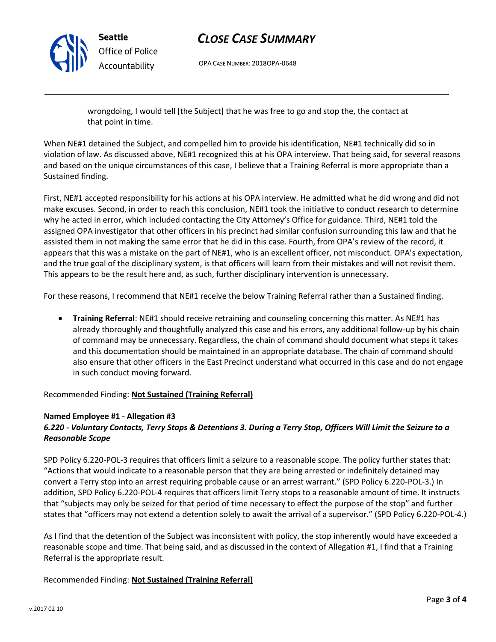

**Seattle** *Office of Police Accountability*

# *CLOSE CASE SUMMARY*

OPA CASE NUMBER: 2018OPA-0648

wrongdoing, I would tell [the Subject] that he was free to go and stop the, the contact at that point in time.

When NE#1 detained the Subject, and compelled him to provide his identification, NE#1 technically did so in violation of law. As discussed above, NE#1 recognized this at his OPA interview. That being said, for several reasons and based on the unique circumstances of this case, I believe that a Training Referral is more appropriate than a Sustained finding.

First, NE#1 accepted responsibility for his actions at his OPA interview. He admitted what he did wrong and did not make excuses. Second, in order to reach this conclusion, NE#1 took the initiative to conduct research to determine why he acted in error, which included contacting the City Attorney's Office for guidance. Third, NE#1 told the assigned OPA investigator that other officers in his precinct had similar confusion surrounding this law and that he assisted them in not making the same error that he did in this case. Fourth, from OPA's review of the record, it appears that this was a mistake on the part of NE#1, who is an excellent officer, not misconduct. OPA's expectation, and the true goal of the disciplinary system, is that officers will learn from their mistakes and will not revisit them. This appears to be the result here and, as such, further disciplinary intervention is unnecessary.

For these reasons, I recommend that NE#1 receive the below Training Referral rather than a Sustained finding.

• **Training Referral**: NE#1 should receive retraining and counseling concerning this matter. As NE#1 has already thoroughly and thoughtfully analyzed this case and his errors, any additional follow-up by his chain of command may be unnecessary. Regardless, the chain of command should document what steps it takes and this documentation should be maintained in an appropriate database. The chain of command should also ensure that other officers in the East Precinct understand what occurred in this case and do not engage in such conduct moving forward.

Recommended Finding: **Not Sustained (Training Referral)**

## **Named Employee #1 - Allegation #3**

## *6.220 - Voluntary Contacts, Terry Stops & Detentions 3. During a Terry Stop, Officers Will Limit the Seizure to a Reasonable Scope*

SPD Policy 6.220-POL-3 requires that officers limit a seizure to a reasonable scope. The policy further states that: "Actions that would indicate to a reasonable person that they are being arrested or indefinitely detained may convert a Terry stop into an arrest requiring probable cause or an arrest warrant." (SPD Policy 6.220-POL-3.) In addition, SPD Policy 6.220-POL-4 requires that officers limit Terry stops to a reasonable amount of time. It instructs that "subjects may only be seized for that period of time necessary to effect the purpose of the stop" and further states that "officers may not extend a detention solely to await the arrival of a supervisor." (SPD Policy 6.220-POL-4.)

As I find that the detention of the Subject was inconsistent with policy, the stop inherently would have exceeded a reasonable scope and time. That being said, and as discussed in the context of Allegation #1, I find that a Training Referral is the appropriate result.

## Recommended Finding: **Not Sustained (Training Referral)**